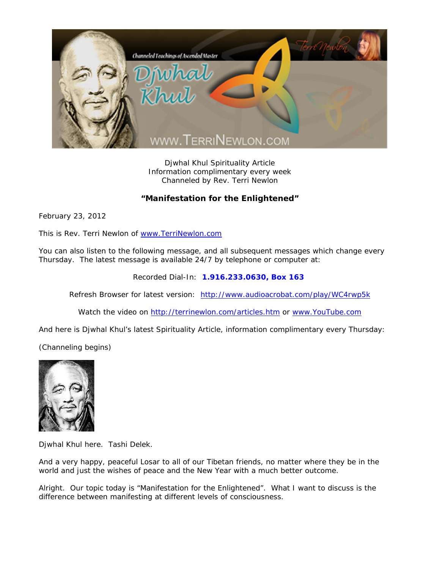

Djwhal Khul Spirituality Article Information complimentary every week Channeled by Rev. Terri Newlon

## **"Manifestation for the Enlightened"**

February 23, 2012

This is Rev. Terri Newlon of www.TerriNewlon.com

You can also listen to the following message, and all subsequent messages which change every Thursday. The latest message is available 24/7 by telephone or computer at:

Recorded Dial-In: **1.916.233.0630, Box 163** 

Refresh Browser for latest version: http://www.audioacrobat.com/play/WC4rwp5k

Watch the video on http://terrinewlon.com/articles.htm or www.YouTube.com

And here is Djwhal Khul's latest Spirituality Article, information complimentary every Thursday:

(Channeling begins)



Djwhal Khul here. Tashi Delek.

And a very happy, peaceful Losar to all of our Tibetan friends, no matter where they be in the world and just the wishes of peace and the New Year with a much better outcome.

Alright. Our topic today is "Manifestation for the Enlightened". What I want to discuss is the difference between manifesting at different levels of consciousness.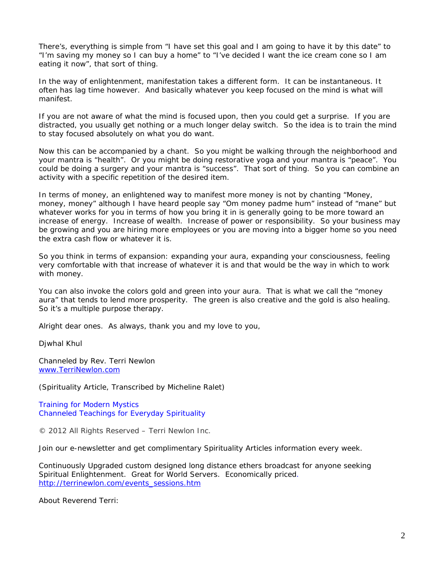There's, everything is simple from "I have set this goal and I am going to have it by this date" to "I'm saving my money so I can buy a home" to "I've decided I want the ice cream cone so I am eating it now", that sort of thing.

In the way of enlightenment, manifestation takes a different form. It can be instantaneous. It often has lag time however. And basically whatever you keep focused on the mind is what will manifest.

If you are not aware of what the mind is focused upon, then you could get a surprise. If you are distracted, you usually get nothing or a much longer delay switch. So the idea is to train the mind to stay focused absolutely on what you do want.

Now this can be accompanied by a chant. So you might be walking through the neighborhood and your mantra is "health". Or you might be doing restorative yoga and your mantra is "peace". You could be doing a surgery and your mantra is "success". That sort of thing. So you can combine an activity with a specific repetition of the desired item.

In terms of money, an enlightened way to manifest more money is not by chanting "Money, money, money" although I have heard people say "Om *money* padme hum" instead of "*mane*" but whatever works for you in terms of how you bring it in is generally going to be more toward an increase of energy. Increase of wealth. Increase of power or responsibility. So your business may be growing and you are hiring more employees or you are moving into a bigger home so you need the extra cash flow or whatever it is.

So you think in terms of expansion: expanding your aura, expanding your consciousness, feeling very comfortable with that increase of whatever it is and that would be the way in which to work with money.

You can also invoke the colors gold and green into your aura. That is what we call the "money aura" that tends to lend more prosperity. The green is also creative and the gold is also healing. So it's a multiple purpose therapy.

Alright dear ones. As always, thank you and my love to you,

Djwhal Khul

Channeled by Rev. Terri Newlon www.TerriNewlon.com

(Spirituality Article, Transcribed by Micheline Ralet)

Training for Modern Mystics Channeled Teachings for Everyday Spirituality

© 2012 All Rights Reserved – Terri Newlon Inc.

Join our e-newsletter and get complimentary Spirituality Articles information every week.

Continuously Upgraded custom designed long distance ethers broadcast for anyone seeking Spiritual Enlightenment. Great for World Servers. Economically priced. http://terrinewlon.com/events\_sessions.htm

About Reverend Terri: